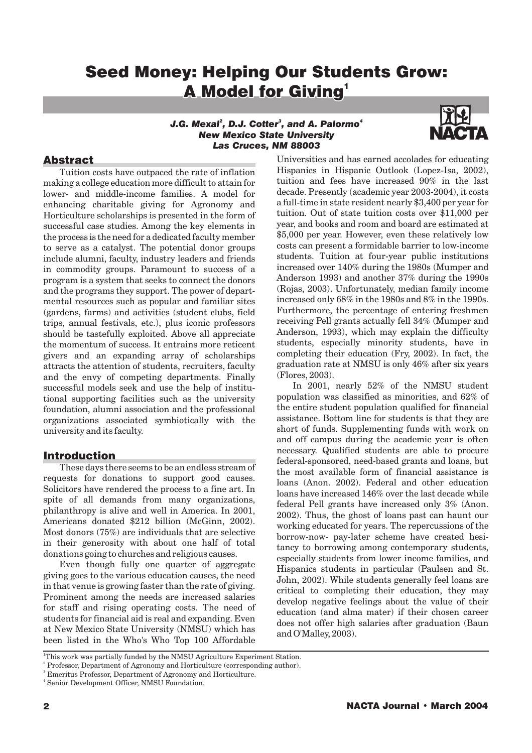# Seed Money: Helping Our Students Grow:<br>A Model for Giving' **A Model for Giving1**

## *J.G. Mexal , D.J. Cotter , and A. Palormo <sup>2</sup> <sup>3</sup> <sup>4</sup> J.G. Mexal , D.J. Cotter , and A. 23 New Mexico State University Las Cruces, NM 88003*



## Abstract

Tuition costs have outpaced the rate of inflation making a college education more difficult to attain for lower- and middle-income families. A model for enhancing charitable giving for Agronomy and Horticulture scholarships is presented in the form of successful case studies. Among the key elements in the process is the need for a dedicated faculty member to serve as a catalyst. The potential donor groups include alumni, faculty, industry leaders and friends in commodity groups. Paramount to success of a program is a system that seeks to connect the donors and the programs they support. The power of departmental resources such as popular and familiar sites (gardens, farms) and activities (student clubs, field trips, annual festivals, etc.), plus iconic professors should be tastefully exploited. Above all appreciate the momentum of success. It entrains more reticent givers and an expanding array of scholarships attracts the attention of students, recruiters, faculty and the envy of competing departments. Finally successful models seek and use the help of institutional supporting facilities such as the university foundation, alumni association and the professional organizations associated symbiotically with the university and its faculty.

## Introduction

These days there seems to be an endless stream of requests for donations to support good causes. Solicitors have rendered the process to a fine art. In spite of all demands from many organizations, philanthropy is alive and well in America. In 2001, Americans donated \$212 billion (McGinn, 2002). Most donors (75%) are individuals that are selective in their generosity with about one half of total donations going to churches and religious causes.

Even though fully one quarter of aggregate giving goes to the various education causes, the need in that venue is growing faster than the rate of giving. Prominent among the needs are increased salaries for staff and rising operating costs. The need of students for financial aid is real and expanding. Even at New Mexico State University (NMSU) which has been listed in the Who's Who Top 100 Affordable

Universities and has earned accolades for educating Hispanics in Hispanic Outlook (Lopez-Isa, 2002), tuition and fees have increased 90% in the last decade. Presently (academic year 2003-2004), it costs a full-time in state resident nearly \$3,400 per year for tuition. Out of state tuition costs over \$11,000 per year, and books and room and board are estimated at \$5,000 per year. However, even these relatively low costs can present a formidable barrier to low-income students. Tuition at four-year public institutions increased over 140% during the 1980s (Mumper and Anderson 1993) and another 37% during the 1990s (Rojas, 2003). Unfortunately, median family income increased only 68% in the 1980s and 8% in the 1990s. Furthermore, the percentage of entering freshmen receiving Pell grants actually fell 34% (Mumper and Anderson, 1993), which may explain the difficulty students, especially minority students, have in completing their education (Fry, 2002). In fact, the graduation rate at NMSU is only 46% after six years (Flores, 2003).

In 2001, nearly 52% of the NMSU student population was classified as minorities, and 62% of the entire student population qualified for financial assistance. Bottom line for students is that they are short of funds. Supplementing funds with work on and off campus during the academic year is often necessary. Qualified students are able to procure federal-sponsored, need-based grants and loans, but the most available form of financial assistance is loans (Anon. 2002). Federal and other education loans have increased 146% over the last decade while federal Pell grants have increased only 3% (Anon. 2002). Thus, the ghost of loans past can haunt our working educated for years. The repercussions of the borrow-now- pay-later scheme have created hesitancy to borrowing among contemporary students, especially students from lower income families, and Hispanics students in particular (Paulsen and St. John, 2002). While students generally feel loans are critical to completing their education, they may develop negative feelings about the value of their education (and alma mater) if their chosen career does not offer high salaries after graduation (Baun and O'Malley, 2003).

<sup>&</sup>lt;sup>1</sup>This work was partially funded by the NMSU Agriculture Experiment Station.

<sup>&</sup>lt;sup>2</sup> Professor, Department of Agronomy and Horticulture (corresponding author).

<sup>3</sup> Emeritus Professor, Department of Agronomy and Horticulture.

<sup>4</sup> Senior Development Officer, NMSU Foundation.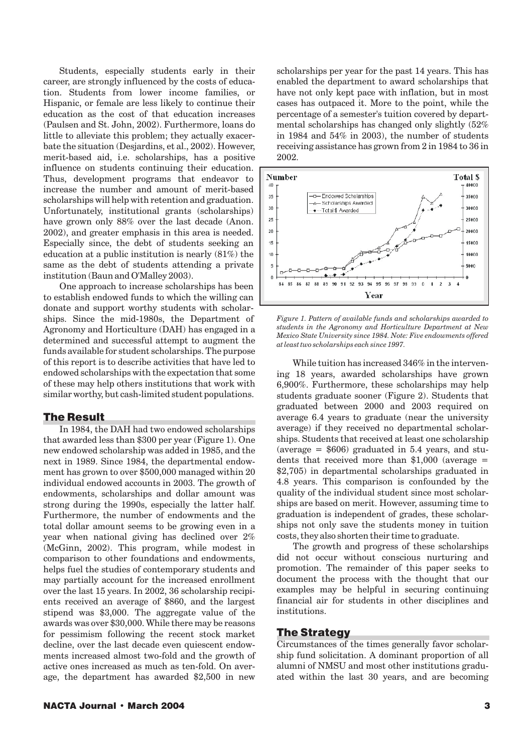Students, especially students early in their career, are strongly influenced by the costs of education. Students from lower income families, or Hispanic, or female are less likely to continue their education as the cost of that education increases (Paulsen and St. John, 2002). Furthermore, loans do little to alleviate this problem; they actually exacerbate the situation (Desjardins, et al., 2002). However, merit-based aid, i.e. scholarships, has a positive influence on students continuing their education. Thus, development programs that endeavor to increase the number and amount of merit-based scholarships will help with retention and graduation. Unfortunately, institutional grants (scholarships) have grown only 88% over the last decade (Anon. 2002), and greater emphasis in this area is needed. Especially since, the debt of students seeking an education at a public institution is nearly (81%) the same as the debt of students attending a private institution (Baun and O'Malley 2003).

One approach to increase scholarships has been to establish endowed funds to which the willing can donate and support worthy students with scholarships. Since the mid-1980s, the Department of Agronomy and Horticulture (DAH) has engaged in a determined and successful attempt to augment the funds available for student scholarships. The purpose of this report is to describe activities that have led to endowed scholarships with the expectation that some of these may help others institutions that work with similar worthy, but cash-limited student populations.

## The Result

In 1984, the DAH had two endowed scholarships that awarded less than \$300 per year (Figure 1). One new endowed scholarship was added in 1985, and the next in 1989. Since 1984, the departmental endowment has grown to over \$500,000 managed within 20 individual endowed accounts in 2003. The growth of endowments, scholarships and dollar amount was strong during the 1990s, especially the latter half. Furthermore, the number of endowments and the total dollar amount seems to be growing even in a year when national giving has declined over 2% (McGinn, 2002). This program, while modest in comparison to other foundations and endowments, helps fuel the studies of contemporary students and may partially account for the increased enrollment over the last 15 years. In 2002, 36 scholarship recipients received an average of \$860, and the largest stipend was \$3,000. The aggregate value of the awards was over \$30,000. While there may be reasons for pessimism following the recent stock market decline, over the last decade even quiescent endowments increased almost two-fold and the growth of active ones increased as much as ten-fold. On average, the department has awarded \$2,500 in new

scholarships per year for the past 14 years. This has enabled the department to award scholarships that have not only kept pace with inflation, but in most cases has outpaced it. More to the point, while the percentage of a semester's tuition covered by departmental scholarships has changed only slightly (52% in 1984 and 54% in 2003), the number of students receiving assistance has grown from 2 in 1984 to 36 in 2002.



*Figure 1. Pattern of available funds and scholarships awarded to students in the Agronomy and Horticulture Department at New Mexico State University since 1984. Note: Five endowments offered at least two scholarships each since 1997.*

While tuition has increased 346% in the intervening 18 years, awarded scholarships have grown 6,900%. Furthermore, these scholarships may help students graduate sooner (Figure 2). Students that graduated between 2000 and 2003 required on average 6.4 years to graduate (near the university average) if they received no departmental scholarships. Students that received at least one scholarship (average  $=$  \$606) graduated in 5.4 years, and students that received more than  $$1,000$  (average = \$2,705) in departmental scholarships graduated in 4.8 years. This comparison is confounded by the quality of the individual student since most scholarships are based on merit. However, assuming time to graduation is independent of grades, these scholarships not only save the students money in tuition costs, they also shorten their time to graduate.

The growth and progress of these scholarships did not occur without conscious nurturing and promotion. The remainder of this paper seeks to document the process with the thought that our examples may be helpful in securing continuing financial air for students in other disciplines and institutions.

## The Strategy

Circumstances of the times generally favor scholarship fund solicitation. A dominant proportion of all alumni of NMSU and most other institutions graduated within the last 30 years, and are becoming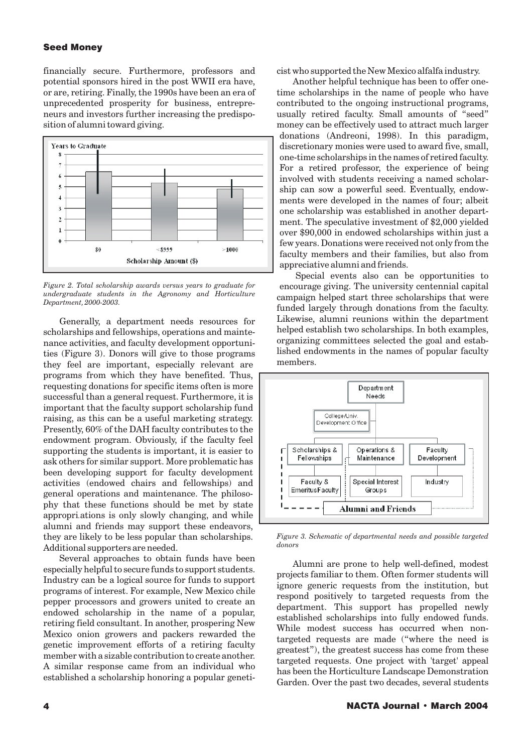#### **Seed Money**

financially secure. Furthermore, professors and potential sponsors hired in the post WWII era have, or are, retiring. Finally, the 1990s have been an era of unprecedented prosperity for business, entrepreneurs and investors further increasing the predisposition of alumni toward giving.



*Figure 2. Total scholarship awards versus years to graduate for undergraduate students in the Agronomy and Horticulture Department, 2000-2003.*

Generally, a department needs resources for scholarships and fellowships, operations and maintenance activities, and faculty development opportunities (Figure 3). Donors will give to those programs they feel are important, especially relevant are programs from which they have benefited. Thus, requesting donations for specific items often is more successful than a general request. Furthermore, it is important that the faculty support scholarship fund raising, as this can be a useful marketing strategy. Presently, 60% of the DAH faculty contributes to the endowment program. Obviously, if the faculty feel supporting the students is important, it is easier to ask others for similar support. More problematic has been developing support for faculty development activities (endowed chairs and fellowships) and general operations and maintenance. The philosophy that these functions should be met by state appropri ations is only slowly changing, and while *.* alumni and friends may support these endeavors, they are likely to be less popular than scholarships. Additional supporters are needed.

Several approaches to obtain funds have been especially helpful to secure funds to support students. Industry can be a logical source for funds to support programs of interest. For example, New Mexico chile pepper processors and growers united to create an endowed scholarship in the name of a popular, retiring field consultant. In another, prospering New Mexico onion growers and packers rewarded the genetic improvement efforts of a retiring faculty member with a sizable contribution to create another. A similar response came from an individual who established a scholarship honoring a popular geneticist who supported the New Mexico alfalfa industry.

Another helpful technique has been to offer onetime scholarships in the name of people who have contributed to the ongoing instructional programs, usually retired faculty. Small amounts of "seed" money can be effectively used to attract much larger donations (Andreoni, 1998). In this paradigm, discretionary monies were used to award five, small, one-time scholarships in the names of retired faculty. For a retired professor, the experience of being involved with students receiving a named scholarship can sow a powerful seed. Eventually, endowments were developed in the names of four; albeit one scholarship was established in another department. The speculative investment of \$2,000 yielded over \$90,000 in endowed scholarships within just a few years. Donations were received not only from the faculty members and their families, but also from appreciative alumni and friends.

Special events also can be opportunities to encourage giving. The university centennial capital campaign helped start three scholarships that were funded largely through donations from the faculty. Likewise, alumni reunions within the department helped establish two scholarships. In both examples, organizing committees selected the goal and established endowments in the names of popular faculty members.



*Figure 3. Schematic of departmental needs and possible targeted donors*

Alumni are prone to help well-defined, modest projects familiar to them. Often former students will ignore generic requests from the institution, but respond positively to targeted requests from the department. This support has propelled newly established scholarships into fully endowed funds. While modest success has occurred when nontargeted requests are made ("where the need is greatest"), the greatest success has come from these targeted requests. One project with 'target' appeal has been the Horticulture Landscape Demonstration Garden. Over the past two decades, several students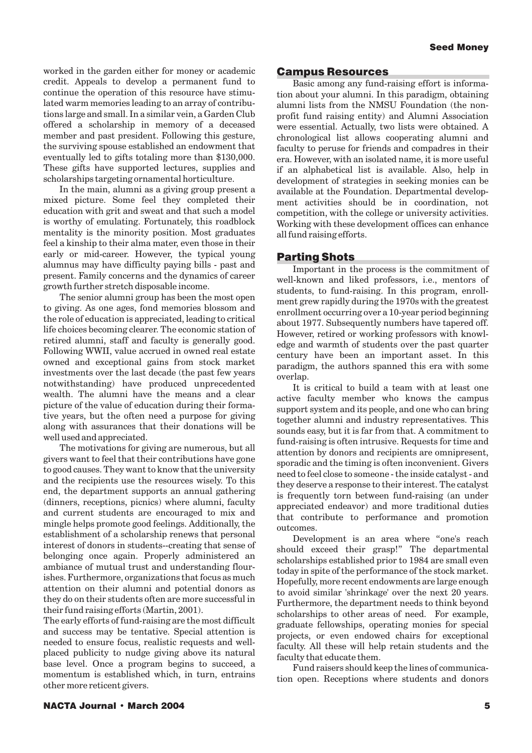worked in the garden either for money or academic credit. Appeals to develop a permanent fund to continue the operation of this resource have stimulated warm memories leading to an array of contributions large and small. In a similar vein, a Garden Club offered a scholarship in memory of a deceased member and past president. Following this gesture, the surviving spouse established an endowment that eventually led to gifts totaling more than \$130,000. These gifts have supported lectures, supplies and scholarships targeting ornamental horticulture.

In the main, alumni as a giving group present a mixed picture. Some feel they completed their education with grit and sweat and that such a model is worthy of emulating. Fortunately, this roadblock mentality is the minority position. Most graduates feel a kinship to their alma mater, even those in their early or mid-career. However, the typical young alumnus may have difficulty paying bills - past and present. Family concerns and the dynamics of career growth further stretch disposable income.

The senior alumni group has been the most open to giving. As one ages, fond memories blossom and the role of education is appreciated, leading to critical life choices becoming clearer. The economic station of retired alumni, staff and faculty is generally good. Following WWII, value accrued in owned real estate owned and exceptional gains from stock market investments over the last decade (the past few years notwithstanding) have produced unprecedented wealth. The alumni have the means and a clear picture of the value of education during their formative years, but the often need a purpose for giving along with assurances that their donations will be well used and appreciated.

The motivations for giving are numerous, but all givers want to feel that their contributions have gone to good causes. They want to know that the university and the recipients use the resources wisely. To this end, the department supports an annual gathering (dinners, receptions, picnics) where alumni, faculty and current students are encouraged to mix and mingle helps promote good feelings. Additionally, the establishment of a scholarship renews that personal interest of donors in students--creating that sense of belonging once again. Properly administered an ambiance of mutual trust and understanding flourishes. Furthermore, organizations that focus as much attention on their alumni and potential donors as they do on their students often are more successful in their fund raising efforts (Martin, 2001).

The early efforts of fund-raising are the most difficult and success may be tentative. Special attention is needed to ensure focus, realistic requests and wellplaced publicity to nudge giving above its natural base level. Once a program begins to succeed, a momentum is established which, in turn, entrains other more reticent givers.

#### Campus Resources

Basic among any fund-raising effort is information about your alumni. In this paradigm, obtaining alumni lists from the NMSU Foundation (the nonprofit fund raising entity) and Alumni Association were essential. Actually, two lists were obtained. A chronological list allows cooperating alumni and faculty to peruse for friends and compadres in their era. However, with an isolated name, it is more useful if an alphabetical list is available. Also, help in development of strategies in seeking monies can be available at the Foundation. Departmental development activities should be in coordination, not competition, with the college or university activities. Working with these development offices can enhance all fund raising efforts.

#### Parting Shots

Important in the process is the commitment of well-known and liked professors, i.e., mentors of students, to fund-raising. In this program, enrollment grew rapidly during the 1970s with the greatest enrollment occurring over a 10-year period beginning about 1977. Subsequently numbers have tapered off. However, retired or working professors with knowledge and warmth of students over the past quarter century have been an important asset. In this paradigm, the authors spanned this era with some overlap.

It is critical to build a team with at least one active faculty member who knows the campus support system and its people, and one who can bring together alumni and industry representatives. This sounds easy, but it is far from that. A commitment to fund-raising is often intrusive. Requests for time and attention by donors and recipients are omnipresent, sporadic and the timing is often inconvenient. Givers need to feel close to someone - the inside catalyst - and they deserve a response to their interest. The catalyst is frequently torn between fund-raising (an under appreciated endeavor) and more traditional duties that contribute to performance and promotion outcomes.

Development is an area where "one's reach should exceed their grasp!" The departmental scholarships established prior to 1984 are small even today in spite of the performance of the stock market. Hopefully, more recent endowments are large enough to avoid similar 'shrinkage' over the next 20 years. Furthermore, the department needs to think beyond scholarships to other areas of need. For example, graduate fellowships, operating monies for special projects, or even endowed chairs for exceptional faculty. All these will help retain students and the faculty that educate them.

Fund raisers should keep the lines of communication open. Receptions where students and donors